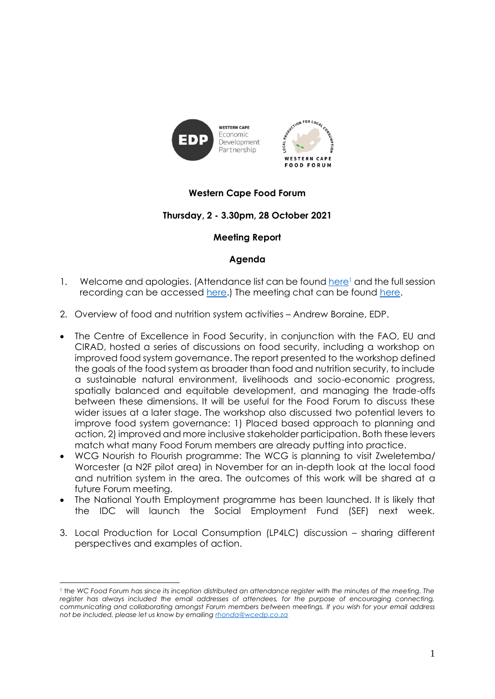

į

## **Western Cape Food Forum**

### **Thursday, 2 - 3.30pm, 28 October 2021**

#### **Meeting Report**

#### **Agenda**

- 1. Welcome and apologies. (Attendance list can be found [here](https://drive.google.com/file/d/1T_vnMygz6x01YmF97oRpOfI4IY0K_2U4/view?usp=sharing)<sup>1</sup> and the full session recording can be accessed [here.](https://drive.google.com/file/d/19LA2xIc-MyXoIckKASZClJVqubDNuzrp/view?usp=sharing)) The meeting chat can be found here.
- 2. Overview of food and nutrition system activities Andrew Boraine, EDP.
- The Centre of Excellence in Food Security, in conjunction with the FAO, EU and CIRAD, hosted a series of discussions on food security, including a workshop on improved food system governance. The report presented to the workshop defined the goals of the food system as broader than food and nutrition security, to include a sustainable natural environment, livelihoods and socio-economic progress, spatially balanced and equitable development, and managing the trade-offs between these dimensions. It will be useful for the Food Forum to discuss these wider issues at a later stage. The workshop also discussed two potential levers to improve food system governance: 1) Placed based approach to planning and action, 2) improved and more inclusive stakeholder participation. Both these levers match what many Food Forum members are already putting into practice.
- WCG Nourish to Flourish programme: The WCG is planning to visit Zweletemba/ Worcester (a N2F pilot area) in November for an in-depth look at the local food and nutrition system in the area. The outcomes of this work will be shared at a future Forum meeting.
- The National Youth Employment programme has been launched. It is likely that the IDC will launch the Social Employment Fund (SEF) next week.
- 3. Local Production for Local Consumption (LP4LC) discussion sharing different perspectives and examples of action.

<sup>1</sup> th*e WC Food Forum has since its inception distributed an attendance register with the minutes of the meeting. The register has always included the email addresses of attendees, for the purpose of encouraging connecting, communicating and collaborating amongst Forum members between meetings. If you wish for your email address not be included, please let us know by emailing [rhonda@wcedp.co.za](mailto:rhonda@wcedp.co.za)*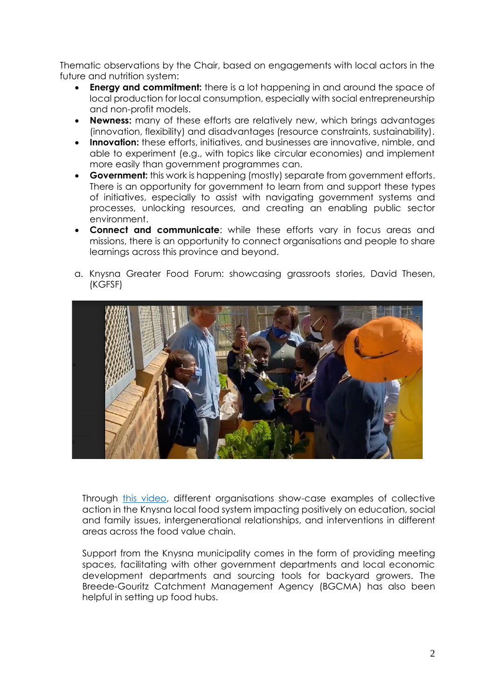Thematic observations by the Chair, based on engagements with local actors in the future and nutrition system:

- **Energy and commitment:** there is a lot happening in and around the space of local production for local consumption, especially with social entrepreneurship and non-profit models.
- **Newness:** many of these efforts are relatively new, which brings advantages (innovation, flexibility) and disadvantages (resource constraints, sustainability).
- **Innovation:** these efforts, initiatives, and businesses are innovative, nimble, and able to experiment (e.g., with topics like circular economies) and implement more easily than government programmes can.
- **Government:** this work is happening (mostly) separate from government efforts. There is an opportunity for government to learn from and support these types of initiatives, especially to assist with navigating government systems and processes, unlocking resources, and creating an enabling public sector environment.
- **Connect and communicate**: while these efforts vary in focus areas and missions, there is an opportunity to connect organisations and people to share learnings across this province and beyond.
- a. Knysna Greater Food Forum: showcasing grassroots stories, David Thesen, (KGFSF)



Through [this video,](https://drive.google.com/file/d/1DcWGy_5KGV0wjyYRKdn36tAmuK2luFhU/view?usp=sharing) different organisations show-case examples of collective action in the Knysna local food system impacting positively on education, social and family issues, intergenerational relationships, and interventions in different areas across the food value chain.

Support from the Knysna municipality comes in the form of providing meeting spaces, facilitating with other government departments and local economic development departments and sourcing tools for backyard growers. The Breede-Gouritz Catchment Management Agency (BGCMA) has also been helpful in setting up food hubs.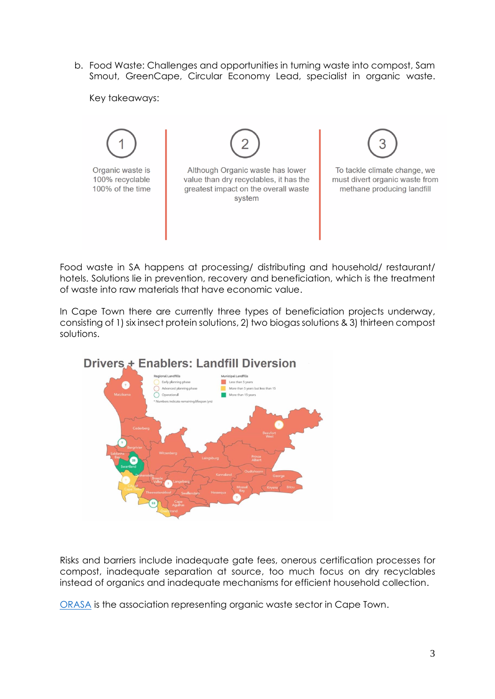b. Food Waste: Challenges and opportunities in turning waste into compost, Sam Smout, GreenCape, Circular Economy Lead, specialist in organic waste.

Key takeaways:



Food waste in SA happens at processing/ distributing and household/ restaurant/ hotels. Solutions lie in prevention, recovery and beneficiation, which is the treatment of waste into raw materials that have economic value.

In Cape Town there are currently three types of beneficiation projects underway, consisting of 1) six insect protein solutions, 2) two biogas solutions & 3) thirteen compost solutions.



# Drivers + Enablers: Landfill Diversion

Risks and barriers include inadequate gate fees, onerous certification processes for compost, inadequate separation at source, too much focus on dry recyclables instead of organics and inadequate mechanisms for efficient household collection.

[ORASA](https://orasa.org.za/) is the association representing organic waste sector in Cape Town.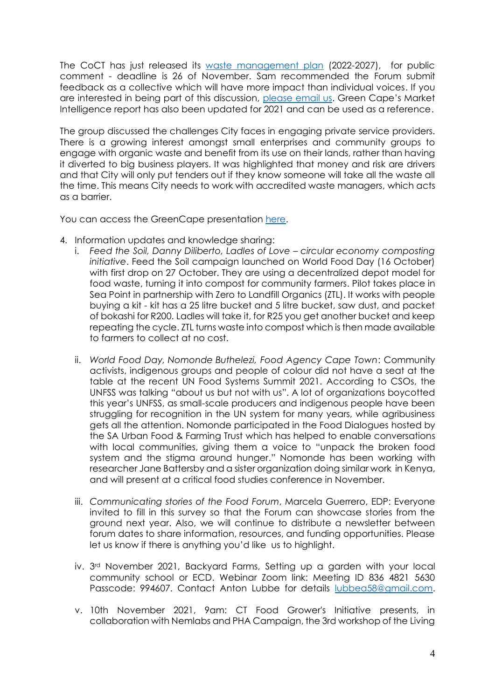The CoCT has just released its waste management plan (2022-2027), for public comment - deadline is 26 of [November. Sam recomme](https://resource.capetown.gov.za/documentcentre/Documents/City%20strategies%2c%20plans%20and%20frameworks/Draft_IWMP_Waste_Sector_Plan_2022-27.pdf)nded the Forum submit feedback as a collective which will have more impact than individual voices. If you are interested in being part of this discussion, please [email us.](mailto:marcela@wcedp.co.za?subject=Waste%20management%20plan%20comments) Green Cape's Market Intelligence report has also been updated for 2021 and can be used as a reference.

The group discussed the challenges City faces in engaging private service providers. There is a growing interest amongst small enterprises and community groups to engage with organic waste and benefit from its use on their lands, rather than having it diverted to big business players. It was highlighted that money and risk are drivers and that City will only put tenders out if they know someone will take all the waste all the time. This means City needs to work with accredited waste managers, which acts as a barrier.

You can access the GreenCape presentation [here.](https://drive.google.com/file/d/17oQVJXS1VvpE8K55ooPjADv9P9eFefsC/view?usp=sharing)

- 4. Information updates and knowledge sharing:
	- i. *Feed the Soil, Danny Diliberto, Ladles of Love – circular economy composting initiative*. Feed the Soil campaign launched on World Food Day (16 October) with first drop on 27 October. They are using a decentralized depot model for food waste, turning it into compost for community farmers. Pilot takes place in Sea Point in partnership with [Zero to Landfill](http://www.ztlorganics.co.za/) Organics (ZTL). It works with people buying a kit - kit has a 25 litre bucket and 5 litre bucket, saw dust, and packet of bokashi for R200. Ladles will take it, for R25 you get another bucket and keep repeating the cycle. ZTL turns waste into compost which is then made available to farmers to collect at no cost.
	- ii. *World Food Day, Nomonde Buthelezi, Food Agency Cape Town*: Community activists, indigenous groups and people of colour did not have a seat at the table at the recent UN Food Systems Summit 2021. According to CSOs, the UNFSS was talking "about us but not with us". A lot of organizations boycotted this year's UNFSS, as small-scale producers and indigenous people have been struggling for recognition in the UN system for many years, while agribusiness gets all the attention. Nomonde participated in the Food Dialogues hosted by the SA Urban Food & Farming Trust which has helped to enable conversations with local communities, giving them a voice to "unpack the broken food system and the stigma around hunger." Nomonde has been working with researcher Jane Battersby and a sister organization doing similar work in Kenya, and will present at a critical food studies conference in November.
	- iii. *Communicating stories of the Food Forum*, Marcela Guerrero, EDP: Everyone invited to fill in [this survey](https://docs.google.com/forms/d/e/1FAIpQLSdv3phRgBxjyvV_glISTE8ycODYrgUwcFGW-5vbK8fux-Yx8Q/viewform?usp=sf_link) so that the Forum can showcase stories from the ground next year. Also, we will continue to distribute a newsletter between forum dates to share information, resources, and funding opportunities. Please let us know if there is anything you'd like us to highlight.
	- iv. 3rd November 2021, Backyard Farms, Setting up a garden with your local community school or ECD. Webinar Zoom link: Meeting ID 836 4821 5630 Passcode: 994607. Contact Anton Lubbe for details [lubbea58@gmail.com.](mailto:lubbea58@gmail.com)
	- v. 10th November 2021, 9am: CT Food Grower's Initiative presents, in collaboration with Nemlabs and PHA Campaign, the 3rd workshop of the Living